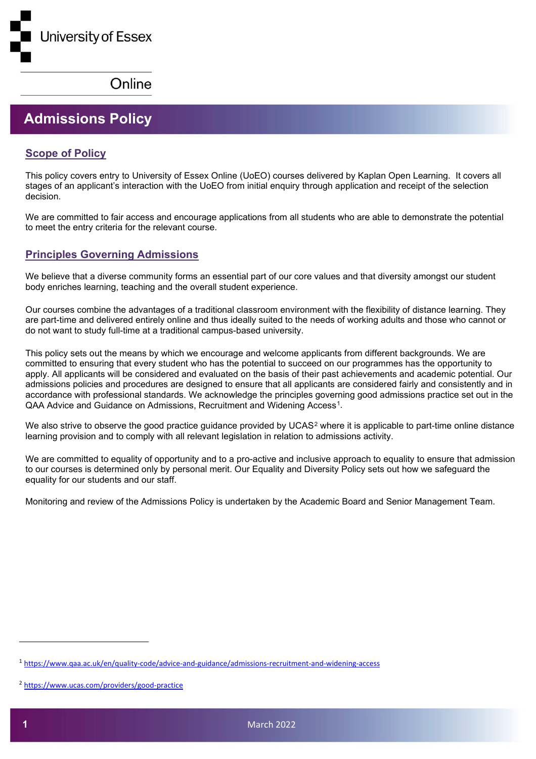## **Admissions Policy**

## **Scope of Policy**

This policy covers entry to University of Essex Online (UoEO) courses delivered by Kaplan Open Learning. It covers all stages of an applicant's interaction with the UoEO from initial enquiry through application and receipt of the selection decision.

We are committed to fair access and encourage applications from all students who are able to demonstrate the potential to meet the entry criteria for the relevant course.

## **Principles Governing Admissions**

We believe that a diverse community forms an essential part of our core values and that diversity amongst our student body enriches learning, teaching and the overall student experience.

Our courses combine the advantages of a traditional classroom environment with the flexibility of distance learning. They are part-time and delivered entirely online and thus ideally suited to the needs of working adults and those who cannot or do not want to study full-time at a traditional campus-based university.

This policy sets out the means by which we encourage and welcome applicants from different backgrounds. We are committed to ensuring that every student who has the potential to succeed on our programmes has the opportunity to apply. All applicants will be considered and evaluated on the basis of their past achievements and academic potential. Our admissions policies and procedures are designed to ensure that all applicants are considered fairly and consistently and in accordance with professional standards. We acknowledge the principles governing good admissions practice set out in the QAA Advice and Guidance on Admissions, Recruitment and Widening Access<sup>1</sup>.

We also strive to observe the good practice guidance provided by UCAS<sup>[2](#page-0-1)</sup> where it is applicable to part-time online distance learning provision and to comply with all relevant legislation in relation to admissions activity.

We are committed to equality of opportunity and to a pro-active and inclusive approach to equality to ensure that admission to our courses is determined only by personal merit. Our Equality and Diversity Policy sets out how we safeguard the equality for our students and our staff.

Monitoring and review of the Admissions Policy is undertaken by the Academic Board and Senior Management Team.

<span id="page-0-0"></span><sup>1</sup> <https://www.qaa.ac.uk/en/quality-code/advice-and-guidance/admissions-recruitment-and-widening-access>

<span id="page-0-1"></span><sup>2</sup> <https://www.ucas.com/providers/good-practice>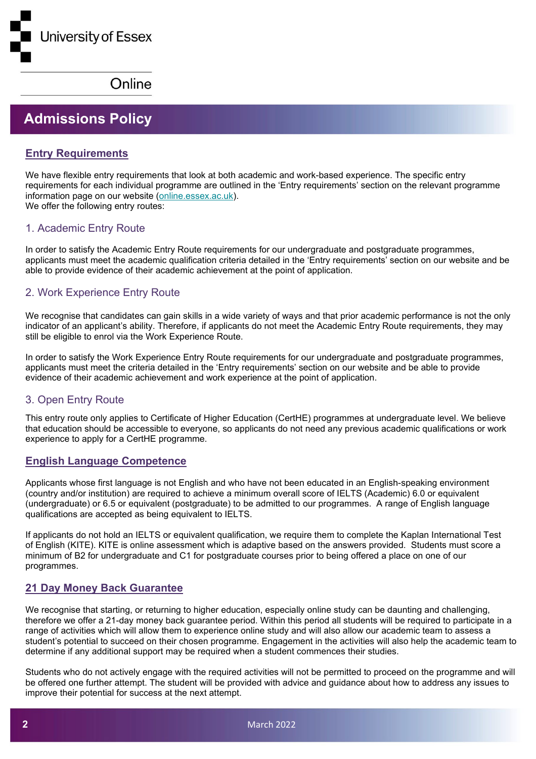# **Admissions Policy**

## **Entry Requirements**

We have flexible entry requirements that look at both academic and work-based experience. The specific entry requirements for each individual programme are outlined in the 'Entry requirements' section on the relevant programme information page on our website [\(online.essex.ac.uk\)](http://online.essex.ac.uk/). We offer the following entry routes:

## 1. Academic Entry Route

In order to satisfy the Academic Entry Route requirements for our undergraduate and postgraduate programmes, applicants must meet the academic qualification criteria detailed in the 'Entry requirements' section on our website and be able to provide evidence of their academic achievement at the point of application.

## 2. Work Experience Entry Route

We recognise that candidates can gain skills in a wide variety of ways and that prior academic performance is not the only indicator of an applicant's ability. Therefore, if applicants do not meet the Academic Entry Route requirements, they may still be eligible to enrol via the Work Experience Route.

In order to satisfy the Work Experience Entry Route requirements for our undergraduate and postgraduate programmes, applicants must meet the criteria detailed in the 'Entry requirements' section on our website and be able to provide evidence of their academic achievement and work experience at the point of application.

## 3. Open Entry Route

This entry route only applies to Certificate of Higher Education (CertHE) programmes at undergraduate level. We believe that education should be accessible to everyone, so applicants do not need any previous academic qualifications or work experience to apply for a CertHE programme.

## **English Language Competence**

Applicants whose first language is not English and who have not been educated in an English-speaking environment (country and/or institution) are required to achieve a minimum overall score of IELTS (Academic) 6.0 or equivalent (undergraduate) or 6.5 or equivalent (postgraduate) to be admitted to our programmes. A range of English language qualifications are accepted as being equivalent to IELTS.

If applicants do not hold an IELTS or equivalent qualification, we require them to complete the Kaplan International Test of English (KITE). KITE is online assessment which is adaptive based on the answers provided. Students must score a minimum of B2 for undergraduate and C1 for postgraduate courses prior to being offered a place on one of our programmes.

## **21 Day Money Back Guarantee**

We recognise that starting, or returning to higher education, especially online study can be daunting and challenging, therefore we offer a 21-day money back guarantee period. Within this period all students will be required to participate in a range of activities which will allow them to experience online study and will also allow our academic team to assess a student's potential to succeed on their chosen programme. Engagement in the activities will also help the academic team to determine if any additional support may be required when a student commences their studies.

Students who do not actively engage with the required activities will not be permitted to proceed on the programme and will be offered one further attempt. The student will be provided with advice and guidance about how to address any issues to improve their potential for success at the next attempt.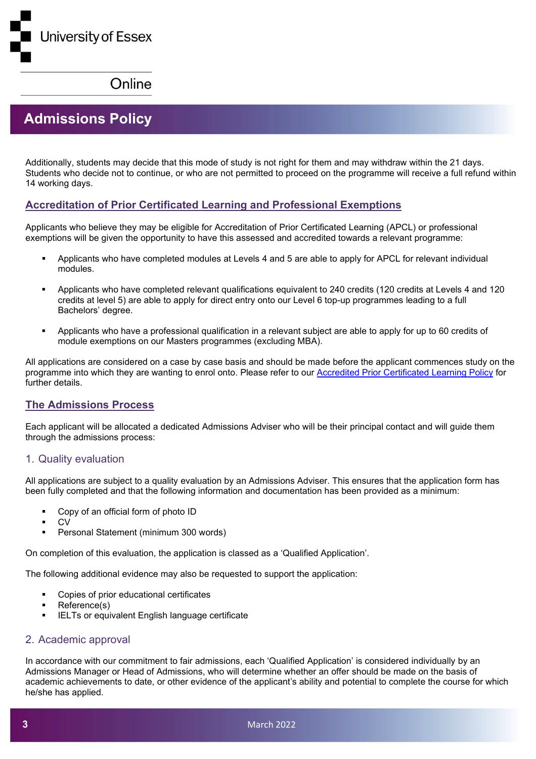# **Admissions Policy**

Additionally, students may decide that this mode of study is not right for them and may withdraw within the 21 days. Students who decide not to continue, or who are not permitted to proceed on the programme will receive a full refund within 14 working days.

## **Accreditation of Prior Certificated Learning and Professional Exemptions**

Applicants who believe they may be eligible for Accreditation of Prior Certificated Learning (APCL) or professional exemptions will be given the opportunity to have this assessed and accredited towards a relevant programme:

- Applicants who have completed modules at Levels 4 and 5 are able to apply for APCL for relevant individual modules.
- Applicants who have completed relevant qualifications equivalent to 240 credits (120 credits at Levels 4 and 120 credits at level 5) are able to apply for direct entry onto our Level 6 top-up programmes leading to a full Bachelors' degree.
- Applicants who have a professional qualification in a relevant subject are able to apply for up to 60 credits of module exemptions on our Masters programmes (excluding MBA).

All applications are considered on a case by case basis and should be made before the applicant commences study on the programme into which they are wanting to enrol onto. Please refer to our [Accredited Prior Certificated Learning Policy](https://online.essex.ac.uk/wp-content/uploads/Legal-Documents/4-Accredited-Prior-Learning-Policy.pdf) for further details.

## **The Admissions Process**

Each applicant will be allocated a dedicated Admissions Adviser who will be their principal contact and will guide them through the admissions process:

#### 1. Quality evaluation

All applications are subject to a quality evaluation by an Admissions Adviser. This ensures that the application form has been fully completed and that the following information and documentation has been provided as a minimum:

- Copy of an official form of photo ID
- $C<sub>N</sub>$
- Personal Statement (minimum 300 words)

On completion of this evaluation, the application is classed as a 'Qualified Application'.

The following additional evidence may also be requested to support the application:

- Copies of prior educational certificates
- Reference(s)
- IELTs or equivalent English language certificate

#### 2. Academic approval

In accordance with our commitment to fair admissions, each 'Qualified Application' is considered individually by an Admissions Manager or Head of Admissions, who will determine whether an offer should be made on the basis of academic achievements to date, or other evidence of the applicant's ability and potential to complete the course for which he/she has applied.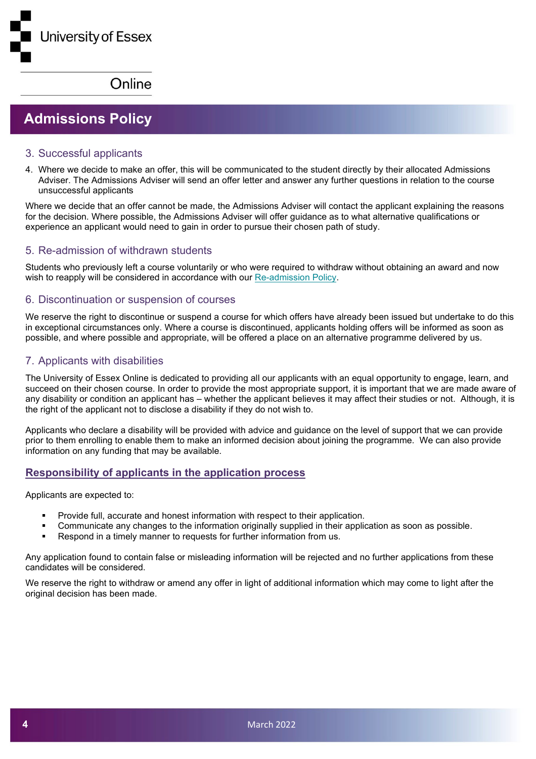# **Admissions Policy**

#### 3. Successful applicants

4. Where we decide to make an offer, this will be communicated to the student directly by their allocated Admissions Adviser. The Admissions Adviser will send an offer letter and answer any further questions in relation to the course unsuccessful applicants

Where we decide that an offer cannot be made, the Admissions Adviser will contact the applicant explaining the reasons for the decision. Where possible, the Admissions Adviser will offer guidance as to what alternative qualifications or experience an applicant would need to gain in order to pursue their chosen path of study.

#### 5. Re-admission of withdrawn students

Students who previously left a course voluntarily or who were required to withdraw without obtaining an award and now wish to reapply will be considered in accordance with our [Re-admission Policy.](https://online.essex.ac.uk/wp-content/uploads/Legal-Documents/18-Re-admission-Policy.pdf%C2%A0)

#### 6. Discontinuation or suspension of courses

We reserve the right to discontinue or suspend a course for which offers have already been issued but undertake to do this in exceptional circumstances only. Where a course is discontinued, applicants holding offers will be informed as soon as possible, and where possible and appropriate, will be offered a place on an alternative programme delivered by us.

#### 7. Applicants with disabilities

The University of Essex Online is dedicated to providing all our applicants with an equal opportunity to engage, learn, and succeed on their chosen course. In order to provide the most appropriate support, it is important that we are made aware of any disability or condition an applicant has – whether the applicant believes it may affect their studies or not. Although, it is the right of the applicant not to disclose a disability if they do not wish to.

Applicants who declare a disability will be provided with advice and guidance on the level of support that we can provide prior to them enrolling to enable them to make an informed decision about joining the programme. We can also provide information on any funding that may be available.

#### **Responsibility of applicants in the application process**

Applicants are expected to:

- Provide full, accurate and honest information with respect to their application.
- Communicate any changes to the information originally supplied in their application as soon as possible.
- Respond in a timely manner to requests for further information from us.

Any application found to contain false or misleading information will be rejected and no further applications from these candidates will be considered.

We reserve the right to withdraw or amend any offer in light of additional information which may come to light after the original decision has been made.